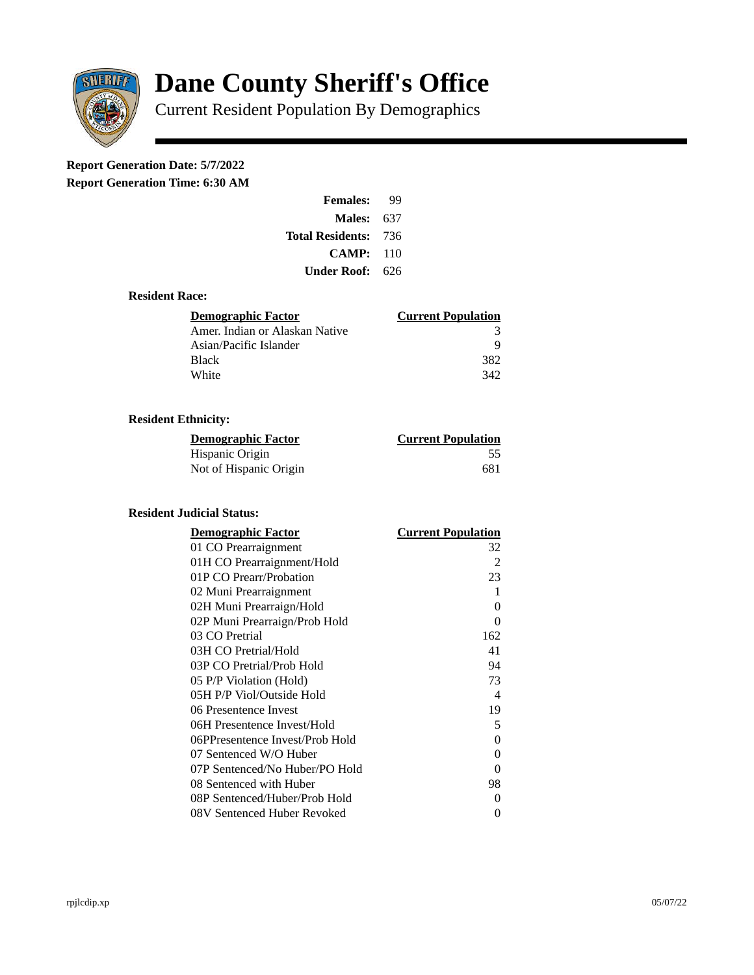

# **Dane County Sheriff's Office**

Current Resident Population By Demographics

## **Report Generation Date: 5/7/2022**

**Report Generation Time: 6:30 AM** 

| <b>Females:</b>         | qq  |
|-------------------------|-----|
| Males:                  | 637 |
| <b>Total Residents:</b> | 736 |
| <b>CAMP:</b>            | 110 |
| Under Roof:             | 626 |

#### **Resident Race:**

| Demographic Factor             | <b>Current Population</b> |
|--------------------------------|---------------------------|
| Amer. Indian or Alaskan Native | 3                         |
| Asian/Pacific Islander         | q                         |
| Black                          | 382                       |
| White                          | 342                       |

### **Resident Ethnicity:**

| <u>Demographic Factor</u> | <u>Current Population</u> |
|---------------------------|---------------------------|
| Hispanic Origin           | 55                        |
| Not of Hispanic Origin    | 681                       |

#### **Resident Judicial Status:**

| <b>Demographic Factor</b>       | <b>Current Population</b>  |
|---------------------------------|----------------------------|
| 01 CO Prearraignment            | 32                         |
| 01H CO Prearraignment/Hold      | 2                          |
| 01P CO Prearr/Probation         | 23                         |
| 02 Muni Prearraignment          | 1                          |
| 02H Muni Prearraign/Hold        | 0                          |
| 02P Muni Prearraign/Prob Hold   | 0                          |
| 03 CO Pretrial                  | 162                        |
| 03H CO Pretrial/Hold            | 41                         |
| 03P CO Pretrial/Prob Hold       | 94                         |
| 05 P/P Violation (Hold)         | 73                         |
| 05H P/P Viol/Outside Hold       | $\boldsymbol{\mathcal{A}}$ |
| 06 Presentence Invest           | 19                         |
| 06H Presentence Invest/Hold     | 5                          |
| 06PPresentence Invest/Prob Hold | 0                          |
| 07 Sentenced W/O Huber          | 0                          |
| 07P Sentenced/No Huber/PO Hold  | 0                          |
| 08 Sentenced with Huber         | 98                         |
| 08P Sentenced/Huber/Prob Hold   | 0                          |
| 08V Sentenced Huber Revoked     | 0                          |